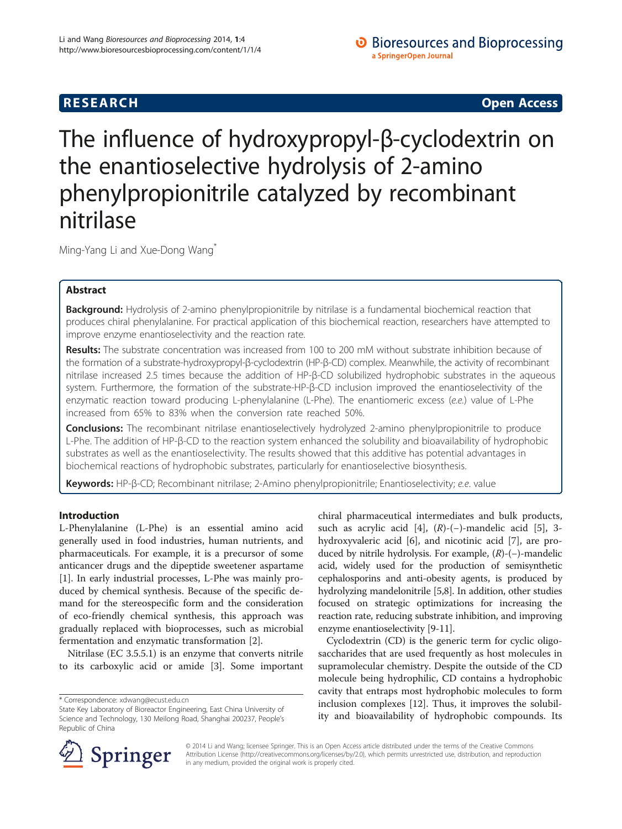## **RESEARCH CHINESE ARCH CHINESE ARCH CHINESE ARCH <b>CHINESE ARCH**

# The influence of hydroxypropyl-β-cyclodextrin on the enantioselective hydrolysis of 2-amino phenylpropionitrile catalyzed by recombinant nitrilase

Ming-Yang Li and Xue-Dong Wang\*

## Abstract

Background: Hydrolysis of 2-amino phenylpropionitrile by nitrilase is a fundamental biochemical reaction that produces chiral phenylalanine. For practical application of this biochemical reaction, researchers have attempted to improve enzyme enantioselectivity and the reaction rate.

Results: The substrate concentration was increased from 100 to 200 mM without substrate inhibition because of the formation of a substrate-hydroxypropyl-β-cyclodextrin (HP-β-CD) complex. Meanwhile, the activity of recombinant nitrilase increased 2.5 times because the addition of HP-β-CD solubilized hydrophobic substrates in the aqueous system. Furthermore, the formation of the substrate-HP-β-CD inclusion improved the enantioselectivity of the enzymatic reaction toward producing L-phenylalanine (L-Phe). The enantiomeric excess (e.e.) value of L-Phe increased from 65% to 83% when the conversion rate reached 50%.

**Conclusions:** The recombinant nitrilase enantioselectively hydrolyzed 2-amino phenylpropionitrile to produce L-Phe. The addition of HP-β-CD to the reaction system enhanced the solubility and bioavailability of hydrophobic substrates as well as the enantioselectivity. The results showed that this additive has potential advantages in biochemical reactions of hydrophobic substrates, particularly for enantioselective biosynthesis.

Keywords: HP-β-CD; Recombinant nitrilase; 2-Amino phenylpropionitrile; Enantioselectivity; e.e. value

## Introduction

L-Phenylalanine (L-Phe) is an essential amino acid generally used in food industries, human nutrients, and pharmaceuticals. For example, it is a precursor of some anticancer drugs and the dipeptide sweetener aspartame [[1\]](#page-4-0). In early industrial processes, L-Phe was mainly produced by chemical synthesis. Because of the specific demand for the stereospecific form and the consideration of eco-friendly chemical synthesis, this approach was gradually replaced with bioprocesses, such as microbial fermentation and enzymatic transformation [[2\]](#page-4-0).

Nitrilase (EC 3.5.5.1) is an enzyme that converts nitrile to its carboxylic acid or amide [[3\]](#page-4-0). Some important

chiral pharmaceutical intermediates and bulk products, such as acrylic acid [[4\]](#page-4-0),  $(R)$ -(−)-mandelic acid [\[5](#page-4-0)], 3hydroxyvaleric acid [\[6](#page-4-0)], and nicotinic acid [[7\]](#page-4-0), are produced by nitrile hydrolysis. For example, (R)-(−)-mandelic acid, widely used for the production of semisynthetic cephalosporins and anti-obesity agents, is produced by hydrolyzing mandelonitrile [\[5,8](#page-4-0)]. In addition, other studies focused on strategic optimizations for increasing the reaction rate, reducing substrate inhibition, and improving enzyme enantioselectivity [\[9](#page-4-0)-[11](#page-4-0)].

Cyclodextrin (CD) is the generic term for cyclic oligosaccharides that are used frequently as host molecules in supramolecular chemistry. Despite the outside of the CD molecule being hydrophilic, CD contains a hydrophobic cavity that entraps most hydrophobic molecules to form inclusion complexes [\[12](#page-4-0)]. Thus, it improves the solubility and bioavailability of hydrophobic compounds. Its



© 2014 Li and Wang; licensee Springer. This is an Open Access article distributed under the terms of the Creative Commons Attribution License [\(http://creativecommons.org/licenses/by/2.0\)](http://creativecommons.org/licenses/by/2.0), which permits unrestricted use, distribution, and reproduction in any medium, provided the original work is properly cited.

<sup>\*</sup> Correspondence: [xdwang@ecust.edu.cn](mailto:xdwang@ecust.edu.cn)

State Key Laboratory of Bioreactor Engineering, East China University of Science and Technology, 130 Meilong Road, Shanghai 200237, People's Republic of China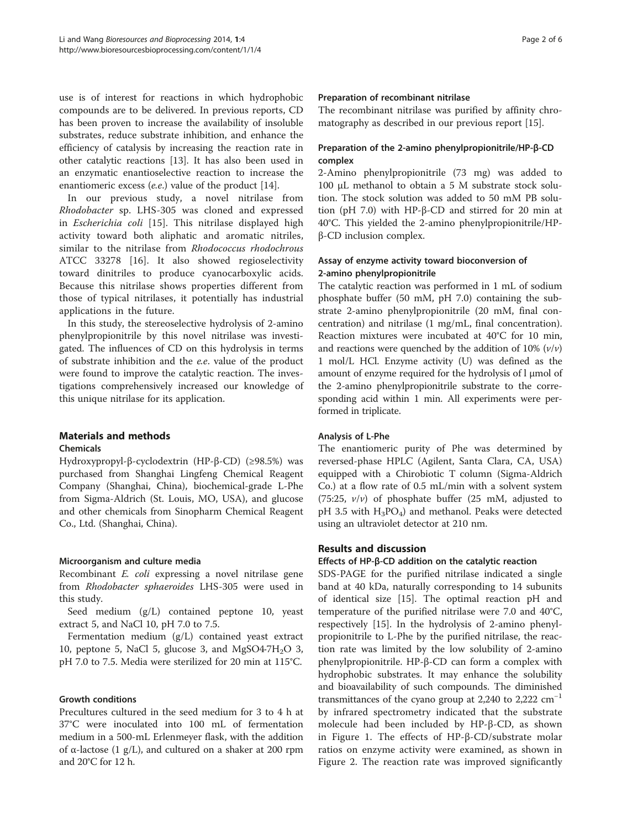use is of interest for reactions in which hydrophobic compounds are to be delivered. In previous reports, CD has been proven to increase the availability of insoluble substrates, reduce substrate inhibition, and enhance the efficiency of catalysis by increasing the reaction rate in other catalytic reactions [[13\]](#page-4-0). It has also been used in an enzymatic enantioselective reaction to increase the enantiomeric excess (e.e.) value of the product [[14](#page-4-0)].

In our previous study, a novel nitrilase from Rhodobacter sp. LHS-305 was cloned and expressed in Escherichia coli [\[15](#page-4-0)]. This nitrilase displayed high activity toward both aliphatic and aromatic nitriles, similar to the nitrilase from Rhodococcus rhodochrous ATCC 33278 [\[16](#page-4-0)]. It also showed regioselectivity toward dinitriles to produce cyanocarboxylic acids. Because this nitrilase shows properties different from those of typical nitrilases, it potentially has industrial applications in the future.

In this study, the stereoselective hydrolysis of 2-amino phenylpropionitrile by this novel nitrilase was investigated. The influences of CD on this hydrolysis in terms of substrate inhibition and the e.e. value of the product were found to improve the catalytic reaction. The investigations comprehensively increased our knowledge of this unique nitrilase for its application.

## Materials and methods

## Chemicals

Hydroxypropyl-β-cyclodextrin (HP-β-CD) (≥98.5%) was purchased from Shanghai Lingfeng Chemical Reagent Company (Shanghai, China), biochemical-grade L-Phe from Sigma-Aldrich (St. Louis, MO, USA), and glucose and other chemicals from Sinopharm Chemical Reagent Co., Ltd. (Shanghai, China).

## Microorganism and culture media

Recombinant E. coli expressing a novel nitrilase gene from Rhodobacter sphaeroides LHS-305 were used in this study.

Seed medium (g/L) contained peptone 10, yeast extract 5, and NaCl 10, pH 7.0 to 7.5.

Fermentation medium (g/L) contained yeast extract 10, peptone 5, NaCl 5, glucose 3, and MgSO4 $-7H_2O$  3, pH 7.0 to 7.5. Media were sterilized for 20 min at 115°C.

## Growth conditions

Precultures cultured in the seed medium for 3 to 4 h at 37°C were inoculated into 100 mL of fermentation medium in a 500-mL Erlenmeyer flask, with the addition of α-lactose (1 g/L), and cultured on a shaker at 200 rpm and 20°C for 12 h.

#### Preparation of recombinant nitrilase

The recombinant nitrilase was purified by affinity chromatography as described in our previous report [\[15\]](#page-4-0).

## Preparation of the 2-amino phenylpropionitrile/HP-β-CD complex

2-Amino phenylpropionitrile (73 mg) was added to 100 μL methanol to obtain a 5 M substrate stock solution. The stock solution was added to 50 mM PB solution (pH 7.0) with HP-β-CD and stirred for 20 min at 40°C. This yielded the 2-amino phenylpropionitrile/HPβ-CD inclusion complex.

## Assay of enzyme activity toward bioconversion of 2-amino phenylpropionitrile

The catalytic reaction was performed in 1 mL of sodium phosphate buffer (50 mM, pH 7.0) containing the substrate 2-amino phenylpropionitrile (20 mM, final concentration) and nitrilase (1 mg/mL, final concentration). Reaction mixtures were incubated at 40°C for 10 min, and reactions were quenched by the addition of 10%  $(v/v)$ 1 mol/L HCl. Enzyme activity (U) was defined as the amount of enzyme required for the hydrolysis of l μmol of the 2-amino phenylpropionitrile substrate to the corresponding acid within 1 min. All experiments were performed in triplicate.

## Analysis of L-Phe

The enantiomeric purity of Phe was determined by reversed-phase HPLC (Agilent, Santa Clara, CA, USA) equipped with a Chirobiotic T column (Sigma-Aldrich Co.) at a flow rate of 0.5 mL/min with a solvent system (75:25,  $v/v$ ) of phosphate buffer (25 mM, adjusted to pH 3.5 with  $H_3PO_4$ ) and methanol. Peaks were detected using an ultraviolet detector at 210 nm.

## Results and discussion

## Effects of HP-β-CD addition on the catalytic reaction

SDS-PAGE for the purified nitrilase indicated a single band at 40 kDa, naturally corresponding to 14 subunits of identical size [\[15\]](#page-4-0). The optimal reaction pH and temperature of the purified nitrilase were 7.0 and 40°C, respectively [\[15\]](#page-4-0). In the hydrolysis of 2-amino phenylpropionitrile to L-Phe by the purified nitrilase, the reaction rate was limited by the low solubility of 2-amino phenylpropionitrile. HP-β-CD can form a complex with hydrophobic substrates. It may enhance the solubility and bioavailability of such compounds. The diminished transmittances of the cyano group at 2,240 to 2,222  $cm^{-1}$ by infrared spectrometry indicated that the substrate molecule had been included by HP-β-CD, as shown in Figure [1](#page-2-0). The effects of HP-β-CD/substrate molar ratios on enzyme activity were examined, as shown in Figure [2](#page-3-0). The reaction rate was improved significantly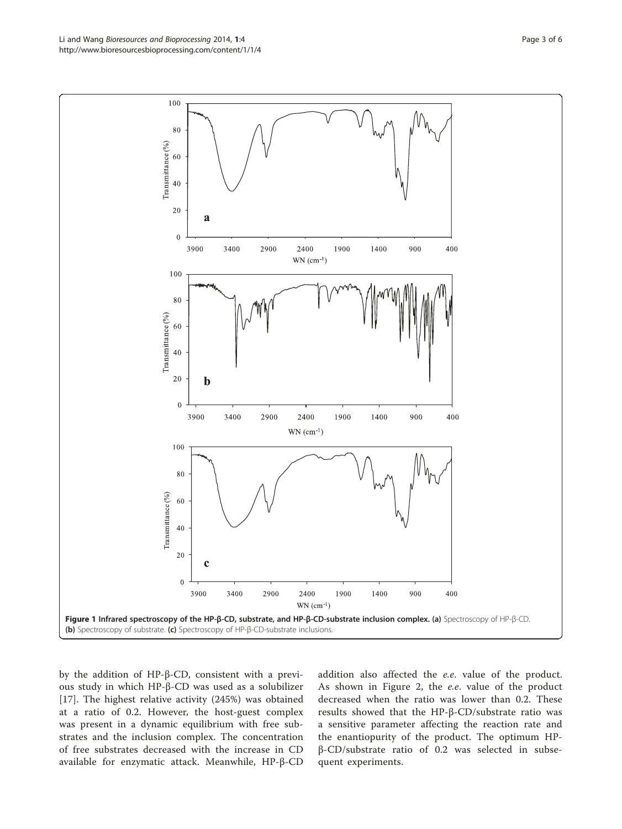by the addition of HP-β-CD, consistent with a previous study in which HP-β-CD was used as a solubilizer [[17\]](#page-4-0). The highest relative activity (245%) was obtained at a ratio of 0.2. However, the host-guest complex was present in a dynamic equilibrium with free substrates and the inclusion complex. The concentration of free substrates decreased with the increase in CD available for enzymatic attack. Meanwhile, HP-β-CD

addition also affected the e.e. value of the product. As shown in Figure [2](#page-3-0), the e.e. value of the product decreased when the ratio was lower than 0.2. These results showed that the HP-β-CD/substrate ratio was a sensitive parameter affecting the reaction rate and the enantiopurity of the product. The optimum HPβ-CD/substrate ratio of 0.2 was selected in subsequent experiments.

<span id="page-2-0"></span>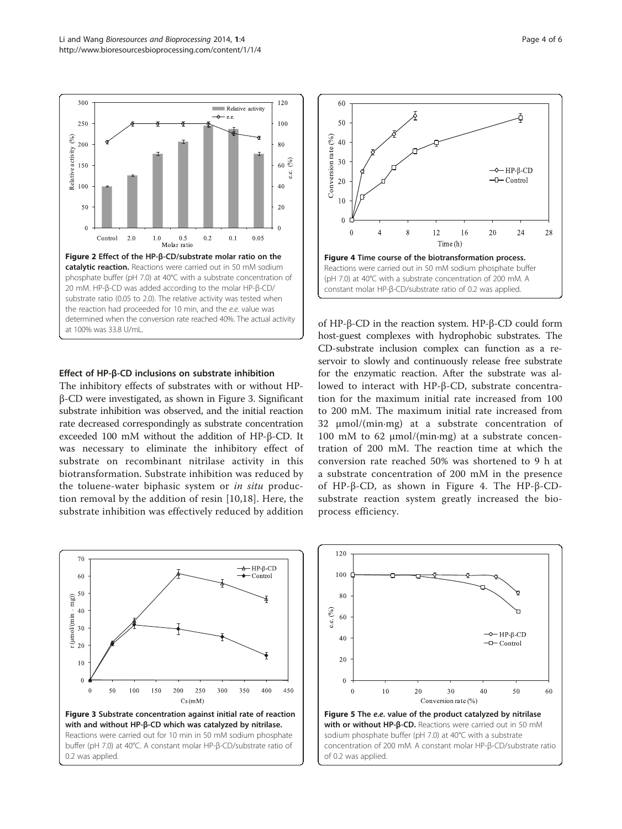<span id="page-3-0"></span>

#### Effect of HP-β-CD inclusions on substrate inhibition

The inhibitory effects of substrates with or without HPβ-CD were investigated, as shown in Figure 3. Significant substrate inhibition was observed, and the initial reaction rate decreased correspondingly as substrate concentration exceeded 100 mM without the addition of HP-β-CD. It was necessary to eliminate the inhibitory effect of substrate on recombinant nitrilase activity in this biotransformation. Substrate inhibition was reduced by the toluene-water biphasic system or in situ production removal by the addition of resin [[10](#page-4-0)[,18](#page-5-0)]. Here, the substrate inhibition was effectively reduced by addition





of HP-β-CD in the reaction system. HP-β-CD could form host-guest complexes with hydrophobic substrates. The CD-substrate inclusion complex can function as a reservoir to slowly and continuously release free substrate for the enzymatic reaction. After the substrate was allowed to interact with HP-β-CD, substrate concentration for the maximum initial rate increased from 100 to 200 mM. The maximum initial rate increased from 32 μmol/(min·mg) at a substrate concentration of 100 mM to 62 μmol/(min·mg) at a substrate concentration of 200 mM. The reaction time at which the conversion rate reached 50% was shortened to 9 h at a substrate concentration of 200 mM in the presence of HP-β-CD, as shown in Figure 4. The HP-β-CDsubstrate reaction system greatly increased the bioprocess efficiency.

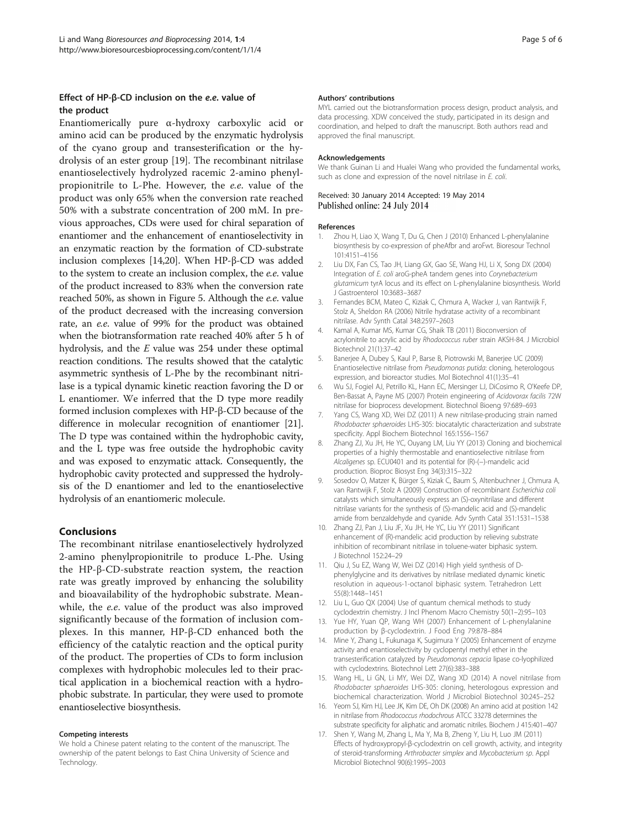#### <span id="page-4-0"></span>Effect of HP-β-CD inclusion on the e.e. value of the product

Enantiomerically pure α-hydroxy carboxylic acid or amino acid can be produced by the enzymatic hydrolysis of the cyano group and transesterification or the hydrolysis of an ester group [\[19\]](#page-5-0). The recombinant nitrilase enantioselectively hydrolyzed racemic 2-amino phenylpropionitrile to L-Phe. However, the e.e. value of the product was only 65% when the conversion rate reached 50% with a substrate concentration of 200 mM. In previous approaches, CDs were used for chiral separation of enantiomer and the enhancement of enantioselectivity in an enzymatic reaction by the formation of CD-substrate inclusion complexes [14,[20](#page-5-0)]. When HP-β-CD was added to the system to create an inclusion complex, the e.e. value of the product increased to 83% when the conversion rate reached 50%, as shown in Figure [5](#page-3-0). Although the e.e. value of the product decreased with the increasing conversion rate, an e.e. value of 99% for the product was obtained when the biotransformation rate reached 40% after 5 h of hydrolysis, and the E value was 254 under these optimal reaction conditions. The results showed that the catalytic asymmetric synthesis of L-Phe by the recombinant nitrilase is a typical dynamic kinetic reaction favoring the D or L enantiomer. We inferred that the D type more readily formed inclusion complexes with HP-β-CD because of the difference in molecular recognition of enantiomer [[21](#page-5-0)]. The D type was contained within the hydrophobic cavity, and the L type was free outside the hydrophobic cavity and was exposed to enzymatic attack. Consequently, the hydrophobic cavity protected and suppressed the hydrolysis of the D enantiomer and led to the enantioselective hydrolysis of an enantiomeric molecule.

#### Conclusions

The recombinant nitrilase enantioselectively hydrolyzed 2-amino phenylpropionitrile to produce L-Phe. Using the HP-β-CD-substrate reaction system, the reaction rate was greatly improved by enhancing the solubility and bioavailability of the hydrophobic substrate. Meanwhile, the e.e. value of the product was also improved significantly because of the formation of inclusion complexes. In this manner, HP-β-CD enhanced both the efficiency of the catalytic reaction and the optical purity of the product. The properties of CDs to form inclusion complexes with hydrophobic molecules led to their practical application in a biochemical reaction with a hydrophobic substrate. In particular, they were used to promote enantioselective biosynthesis.

#### Competing interests

We hold a Chinese patent relating to the content of the manuscript. The ownership of the patent belongs to East China University of Science and Technology.

#### Authors' contributions

MYL carried out the biotransformation process design, product analysis, and data processing. XDW conceived the study, participated in its design and coordination, and helped to draft the manuscript. Both authors read and approved the final manuscript.

#### Acknowledgements

We thank Guinan Li and Hualei Wang who provided the fundamental works, such as clone and expression of the novel nitrilase in E. coli.

#### Received: 30 January 2014 Accepted: 19 May 2014 Published online: 24 July 2014

#### References

- 1. Zhou H, Liao X, Wang T, Du G, Chen J (2010) Enhanced L-phenylalanine biosynthesis by co-expression of pheAfbr and aroFwt. Bioresour Technol 101:4151–4156
- 2. Liu DX, Fan CS, Tao JH, Liang GX, Gao SE, Wang HJ, Li X, Song DX (2004) Integration of E. coli aroG-pheA tandem genes into Corynebacterium glutamicum tyrA locus and its effect on L-phenylalanine biosynthesis. World J Gastroenterol 10:3683–3687
- 3. Fernandes BCM, Mateo C, Kiziak C, Chmura A, Wacker J, van Rantwijk F, Stolz A, Sheldon RA (2006) Nitrile hydratase activity of a recombinant nitrilase. Adv Synth Catal 348:2597–2603
- 4. Kamal A, Kumar MS, Kumar CG, Shaik TB (2011) Bioconversion of acrylonitrile to acrylic acid by Rhodococcus ruber strain AKSH-84. J Microbiol Biotechnol 21(1):37–42
- 5. Banerjee A, Dubey S, Kaul P, Barse B, Piotrowski M, Banerjee UC (2009) Enantioselective nitrilase from Pseudomonas putida: cloning, heterologous expression, and bioreactor studies. Mol Biotechnol 41(1):35–41
- 6. Wu SJ, Fogiel AJ, Petrillo KL, Hann EC, Mersinger LJ, DiCosimo R, O'Keefe DP, Ben-Bassat A, Payne MS (2007) Protein engineering of Acidovorax facilis 72W nitrilase for bioprocess development. Biotechnol Bioeng 97:689–693
- 7. Yang CS, Wang XD, Wei DZ (2011) A new nitrilase-producing strain named Rhodobacter sphaeroides LHS-305: biocatalytic characterization and substrate specificity. Appl Biochem Biotechnol 165:1556–1567
- 8. Zhang ZJ, Xu JH, He YC, Ouyang LM, Liu YY (2013) Cloning and biochemical properties of a highly thermostable and enantioselective nitrilase from Alcaligenes sp. ECU0401 and its potential for (R)-(−)-mandelic acid production. Bioproc Biosyst Eng 34(3):315–322
- 9. Sosedov O, Matzer K, Bürger S, Kiziak C, Baum S, Altenbuchner J, Chmura A, van Rantwijk F, Stolz A (2009) Construction of recombinant Escherichia coli catalysts which simultaneously express an (S)-oxynitrilase and different nitrilase variants for the synthesis of (S)-mandelic acid and (S)-mandelic amide from benzaldehyde and cyanide. Adv Synth Catal 351:1531–1538
- 10. Zhang ZJ, Pan J, Liu JF, Xu JH, He YC, Liu YY (2011) Significant enhancement of (R)-mandelic acid production by relieving substrate inhibition of recombinant nitrilase in toluene-water biphasic system. J Biotechnol 152:24–29
- 11. Qiu J, Su EZ, Wang W, Wei DZ (2014) High yield synthesis of Dphenylglycine and its derivatives by nitrilase mediated dynamic kinetic resolution in aqueous-1-octanol biphasic system. Tetrahedron Lett 55(8):1448–1451
- 12. Liu L, Guo QX (2004) Use of quantum chemical methods to study cyclodextrin chemistry. J Incl Phenom Macro Chemistry 50(1–2):95–103
- Yue HY, Yuan QP, Wang WH (2007) Enhancement of L-phenylalanine production by β-cyclodextrin. J Food Eng 79:878–884
- 14. Mine Y, Zhang L, Fukunaga K, Sugimura Y (2005) Enhancement of enzyme activity and enantioselectivity by cyclopentyl methyl ether in the transesterification catalyzed by Pseudomonas cepacia lipase co-lyophilized with cyclodextrins. Biotechnol Lett 27(6):383–388
- 15. Wang HL, Li GN, Li MY, Wei DZ, Wang XD (2014) A novel nitrilase from Rhodobacter sphaeroides LHS-305: cloning, heterologous expression and biochemical characterization. World J Microbiol Biotechnol 30:245–252
- 16. Yeom SJ, Kim HJ, Lee JK, Kim DE, Oh DK (2008) An amino acid at position 142 in nitrilase from Rhodococcus rhodochrous ATCC 33278 determines the substrate specificity for aliphatic and aromatic nitriles. Biochem J 415:401–407
- 17. Shen Y, Wang M, Zhang L, Ma Y, Ma B, Zheng Y, Liu H, Luo JM (2011) Effects of hydroxypropyl-β-cyclodextrin on cell growth, activity, and integrity of steroid-transforming Arthrobacter simplex and Mycobacterium sp. Appl Microbiol Biotechnol 90(6):1995–2003